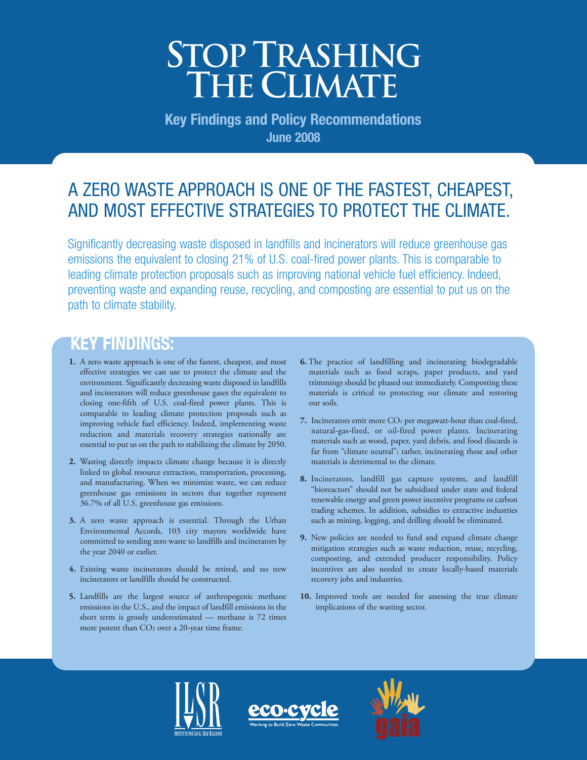## **Stop Trashing the Climate**

**Key Findings and Policy Recommendations June 2008**

## A ZERO WASTE APPROACH IS ONE OF THE FASTEST, CHEAPEST, AND MOST EFFECTIVE STRATEGIES TO PROTECT THE CLIMATE.

Significantly decreasing waste disposed in landfills and incinerators will reduce greenhouse gas emissions the equivalent to closing 21% of U.S. coal-fired power plants. This is comparable to leading climate protection proposals such as improving national vehicle fuel efficiency. Indeed, preventing waste and expanding reuse, recycling, and composting are essential to put us on the path to climate stability.

## **KEY FINDINGS:**

- **1.** A zero waste approach is one of the fastest, cheapest, and most effective strategies we can use to protect the climate and the environment. Significantly decreasing waste disposed in landfills and incinerators will reduce greenhouse gases the equivalent to closing one-fifth of U.S. coal-fired power plants. This is comparable to leading climate protection proposals such as improving vehicle fuel efficiency. Indeed, implementing waste reduction and materials recovery strategies nationally are essential to put us on the path to stabilizing the climate by 2050.
- **2.** Wasting directly impacts climate change because it is directly linked to global resource extraction, transportation, processing, and manufacturing. When we minimize waste, we can reduce greenhouse gas emissions in sectors that together represent 36.7% of all U.S. greenhouse gas emissions.
- **3.** A zero waste approach is essential. Through the Urban Environmental Accords, 103 city mayors worldwide have committed to sending zero waste to landfills and incinerators by the year 2040 or earlier.
- **4.** Existing waste incinerators should be retired, and no new incinerators or landfills should be constructed.
- **5.** Landfills are the largest source of anthropogenic methane emissions in the U.S., and the impact of landfill emissions in the short term is grossly underestimated — methane is 72 times more potent than CO2 over a 20-year time frame.
- **6.** The practice of landfilling and incinerating biodegradable materials such as food scraps, paper products, and yard trimmings should be phased out immediately. Composting these materials is critical to protecting our climate and restoring our soils.
- **7.** Incinerators emit more CO2 per megawatt-hour than coal-fired, natural-gas-fired, or oil-fired power plants. Incinerating materials such as wood, paper, yard debris, and food discards is far from "climate neutral"; rather, incinerating these and other materials is detrimental to the climate.
- **8.** Incinerators, landfill gas capture systems, and landfill "bioreactors" should not be subsidized under state and federal renewable energy and green power incentive programs or carbon trading schemes. In addition, subsidies to extractive industries such as mining, logging, and drilling should be eliminated.
- **9.** New policies are needed to fund and expand climate change mitigation strategies such as waste reduction, reuse, recycling, composting, and extended producer responsibility. Policy incentives are also needed to create locally-based materials recovery jobs and industries.
- **10.** Improved tools are needed for assessing the true climate implications of the wasting sector.